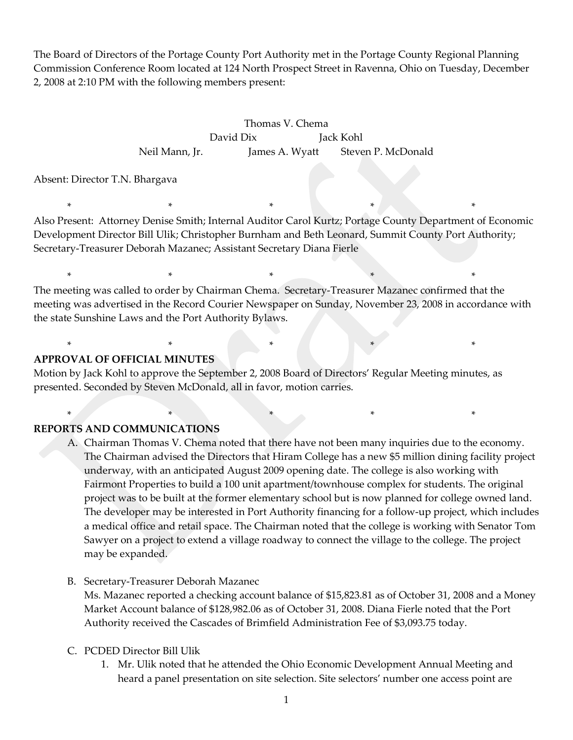The Board of Directors of the Portage County Port Authority met in the Portage County Regional Planning Commission Conference Room located at 124 North Prospect Street in Ravenna, Ohio on Tuesday, December 2, 2008 at 2:10 PM with the following members present:

> Thomas V. Chema David Dix Jack Kohl Neil Mann, Jr. James A. Wyatt Steven P. McDonald

Absent: Director T.N. Bhargava

Also Present: Attorney Denise Smith; Internal Auditor Carol Kurtz; Portage County Department of Economic Development Director Bill Ulik; Christopher Burnham and Beth Leonard, Summit County Port Authority; Secretary-Treasurer Deborah Mazanec; Assistant Secretary Diana Fierle

\* \* \* \* \* \* \* \* \* \* \* \*

\* \* \* \* \* \* \* \* \* \* \*

The meeting was called to order by Chairman Chema. Secretary-Treasurer Mazanec confirmed that the meeting was advertised in the Record Courier Newspaper on Sunday, November 23, 2008 in accordance with the state Sunshine Laws and the Port Authority Bylaws.

### **APPROVAL OF OFFICIAL MINUTES**

Motion by Jack Kohl to approve the September 2, 2008 Board of Directors' Regular Meeting minutes, as presented. Seconded by Steven McDonald, all in favor, motion carries.

\* \* \* \* \*

\* \* \* \* \* \* \* \* \* \*

## **REPORTS AND COMMUNICATIONS**

- A. Chairman Thomas V. Chema noted that there have not been many inquiries due to the economy. The Chairman advised the Directors that Hiram College has a new \$5 million dining facility project underway, with an anticipated August 2009 opening date. The college is also working with Fairmont Properties to build a 100 unit apartment/townhouse complex for students. The original project was to be built at the former elementary school but is now planned for college owned land. The developer may be interested in Port Authority financing for a follow-up project, which includes a medical office and retail space. The Chairman noted that the college is working with Senator Tom Sawyer on a project to extend a village roadway to connect the village to the college. The project may be expanded.
- B. Secretary-Treasurer Deborah Mazanec

Ms. Mazanec reported a checking account balance of \$15,823.81 as of October 31, 2008 and a Money Market Account balance of \$128,982.06 as of October 31, 2008. Diana Fierle noted that the Port Authority received the Cascades of Brimfield Administration Fee of \$3,093.75 today.

- C. PCDED Director Bill Ulik
	- 1. Mr. Ulik noted that he attended the Ohio Economic Development Annual Meeting and heard a panel presentation on site selection. Site selectors' number one access point are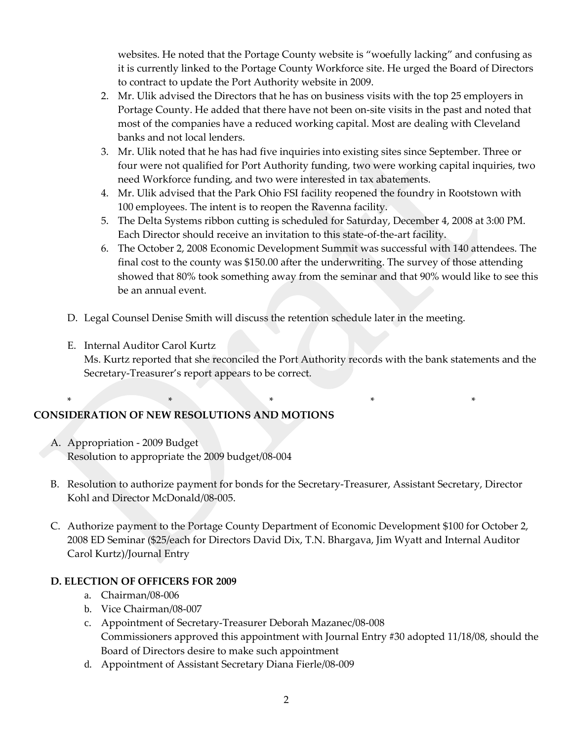websites. He noted that the Portage County website is "woefully lacking" and confusing as it is currently linked to the Portage County Workforce site. He urged the Board of Directors to contract to update the Port Authority website in 2009.

- 2. Mr. Ulik advised the Directors that he has on business visits with the top 25 employers in Portage County. He added that there have not been on-site visits in the past and noted that most of the companies have a reduced working capital. Most are dealing with Cleveland banks and not local lenders.
- 3. Mr. Ulik noted that he has had five inquiries into existing sites since September. Three or four were not qualified for Port Authority funding, two were working capital inquiries, two need Workforce funding, and two were interested in tax abatements.
- 4. Mr. Ulik advised that the Park Ohio FSI facility reopened the foundry in Rootstown with 100 employees. The intent is to reopen the Ravenna facility.
- 5. The Delta Systems ribbon cutting is scheduled for Saturday, December 4, 2008 at 3:00 PM. Each Director should receive an invitation to this state-of-the-art facility.
- 6. The October 2, 2008 Economic Development Summit was successful with 140 attendees. The final cost to the county was \$150.00 after the underwriting. The survey of those attending showed that 80% took something away from the seminar and that 90% would like to see this be an annual event.
- D. Legal Counsel Denise Smith will discuss the retention schedule later in the meeting.

\* \* \* \* \*

E. Internal Auditor Carol Kurtz Ms. Kurtz reported that she reconciled the Port Authority records with the bank statements and the Secretary-Treasurer's report appears to be correct.

# **CONSIDERATION OF NEW RESOLUTIONS AND MOTIONS**

- A. Appropriation 2009 Budget Resolution to appropriate the 2009 budget/08-004
- B. Resolution to authorize payment for bonds for the Secretary-Treasurer, Assistant Secretary, Director Kohl and Director McDonald/08-005.
- C. Authorize payment to the Portage County Department of Economic Development \$100 for October 2, 2008 ED Seminar (\$25/each for Directors David Dix, T.N. Bhargava, Jim Wyatt and Internal Auditor Carol Kurtz)/Journal Entry

## **D. ELECTION OF OFFICERS FOR 2009**

- a. Chairman/08-006
- b. Vice Chairman/08-007
- c. Appointment of Secretary-Treasurer Deborah Mazanec/08-008 Commissioners approved this appointment with Journal Entry #30 adopted 11/18/08, should the Board of Directors desire to make such appointment
- d. Appointment of Assistant Secretary Diana Fierle/08-009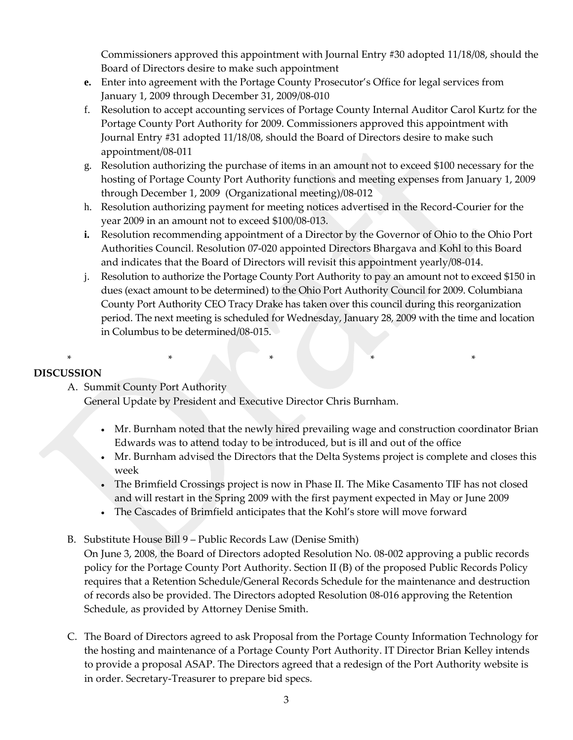Commissioners approved this appointment with Journal Entry #30 adopted 11/18/08, should the Board of Directors desire to make such appointment

- **e.** Enter into agreement with the Portage County Prosecutor's Office for legal services from January 1, 2009 through December 31, 2009/08-010
- f. Resolution to accept accounting services of Portage County Internal Auditor Carol Kurtz for the Portage County Port Authority for 2009. Commissioners approved this appointment with Journal Entry #31 adopted 11/18/08, should the Board of Directors desire to make such appointment/08-011
- g. Resolution authorizing the purchase of items in an amount not to exceed \$100 necessary for the hosting of Portage County Port Authority functions and meeting expenses from January 1, 2009 through December 1, 2009 (Organizational meeting)/08-012
- h. Resolution authorizing payment for meeting notices advertised in the Record-Courier for the year 2009 in an amount not to exceed \$100/08-013.
- **i.** Resolution recommending appointment of a Director by the Governor of Ohio to the Ohio Port Authorities Council. Resolution 07-020 appointed Directors Bhargava and Kohl to this Board and indicates that the Board of Directors will revisit this appointment yearly/08-014.
- j. Resolution to authorize the Portage County Port Authority to pay an amount not to exceed \$150 in dues (exact amount to be determined) to the Ohio Port Authority Council for 2009. Columbiana County Port Authority CEO Tracy Drake has taken over this council during this reorganization period. The next meeting is scheduled for Wednesday, January 28, 2009 with the time and location in Columbus to be determined/08-015.

# **DISCUSSION**

A. Summit County Port Authority

General Update by President and Executive Director Chris Burnham.

\* \* \* \* \* \* \* \* \*

- Mr. Burnham noted that the newly hired prevailing wage and construction coordinator Brian Edwards was to attend today to be introduced, but is ill and out of the office
- Mr. Burnham advised the Directors that the Delta Systems project is complete and closes this week
- The Brimfield Crossings project is now in Phase II. The Mike Casamento TIF has not closed and will restart in the Spring 2009 with the first payment expected in May or June 2009
- The Cascades of Brimfield anticipates that the Kohl's store will move forward
- B. Substitute House Bill 9 Public Records Law (Denise Smith)
	- On June 3, 2008, the Board of Directors adopted Resolution No. 08-002 approving a public records policy for the Portage County Port Authority. Section II (B) of the proposed Public Records Policy requires that a Retention Schedule/General Records Schedule for the maintenance and destruction of records also be provided. The Directors adopted Resolution 08-016 approving the Retention Schedule, as provided by Attorney Denise Smith.
- C. The Board of Directors agreed to ask Proposal from the Portage County Information Technology for the hosting and maintenance of a Portage County Port Authority. IT Director Brian Kelley intends to provide a proposal ASAP. The Directors agreed that a redesign of the Port Authority website is in order. Secretary-Treasurer to prepare bid specs.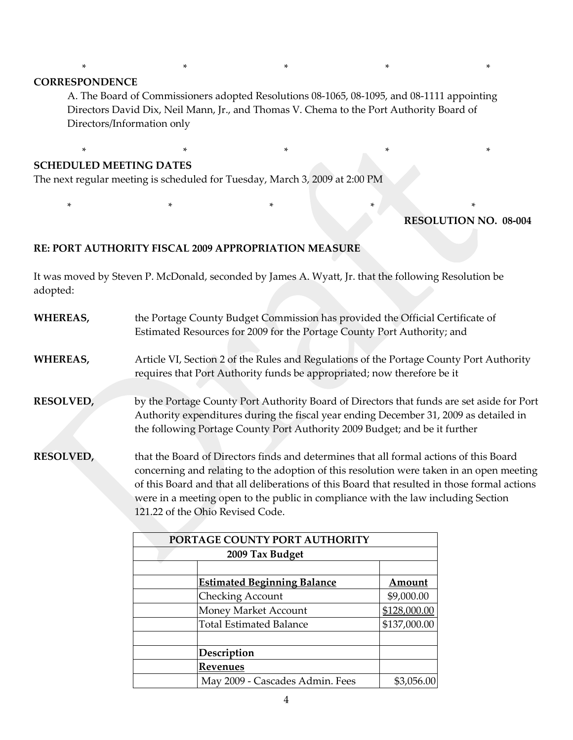#### **CORRESPONDENCE**

A. The Board of Commissioners adopted Resolutions 08-1065, 08-1095, and 08-1111 appointing Directors David Dix, Neil Mann, Jr., and Thomas V. Chema to the Port Authority Board of Directors/Information only

\* \* \* \* \* \* \* \* \* \*

\* \* \* \* \*

#### **SCHEDULED MEETING DATES**

The next regular meeting is scheduled for Tuesday, March 3, 2009 at 2:00 PM

#### **RESOLUTION NO. 08-004**

#### **RE: PORT AUTHORITY FISCAL 2009 APPROPRIATION MEASURE**

It was moved by Steven P. McDonald, seconded by James A. Wyatt, Jr. that the following Resolution be adopted:

\* \* \* \* \* \* \* \* \* \* \* \* \*

| WHEREAS,         | the Portage County Budget Commission has provided the Official Certificate of<br>Estimated Resources for 2009 for the Portage County Port Authority; and                                                                                                                                                                                                                                                    |
|------------------|-------------------------------------------------------------------------------------------------------------------------------------------------------------------------------------------------------------------------------------------------------------------------------------------------------------------------------------------------------------------------------------------------------------|
| WHEREAS,         | Article VI, Section 2 of the Rules and Regulations of the Portage County Port Authority<br>requires that Port Authority funds be appropriated; now therefore be it                                                                                                                                                                                                                                          |
| <b>RESOLVED,</b> | by the Portage County Port Authority Board of Directors that funds are set aside for Port<br>Authority expenditures during the fiscal year ending December 31, 2009 as detailed in<br>the following Portage County Port Authority 2009 Budget; and be it further                                                                                                                                            |
| <b>RESOLVED,</b> | that the Board of Directors finds and determines that all formal actions of this Board<br>concerning and relating to the adoption of this resolution were taken in an open meeting<br>of this Board and that all deliberations of this Board that resulted in those formal actions<br>were in a meeting open to the public in compliance with the law including Section<br>121.22 of the Ohio Revised Code. |
|                  | PORTAGE COUNTY PORT AUTHORITY                                                                                                                                                                                                                                                                                                                                                                               |

| POKTAGE COUNTT POKT AUTHORITY |                                    |              |  |
|-------------------------------|------------------------------------|--------------|--|
|                               |                                    |              |  |
|                               |                                    |              |  |
|                               | <b>Estimated Beginning Balance</b> | Amount       |  |
|                               | <b>Checking Account</b>            | \$9,000.00   |  |
|                               | Money Market Account               | \$128,000.00 |  |
|                               | <b>Total Estimated Balance</b>     | \$137,000.00 |  |
|                               |                                    |              |  |
|                               | Description                        |              |  |
|                               | Revenues                           |              |  |
|                               | May 2009 - Cascades Admin. Fees    | \$3,056.00   |  |
|                               |                                    |              |  |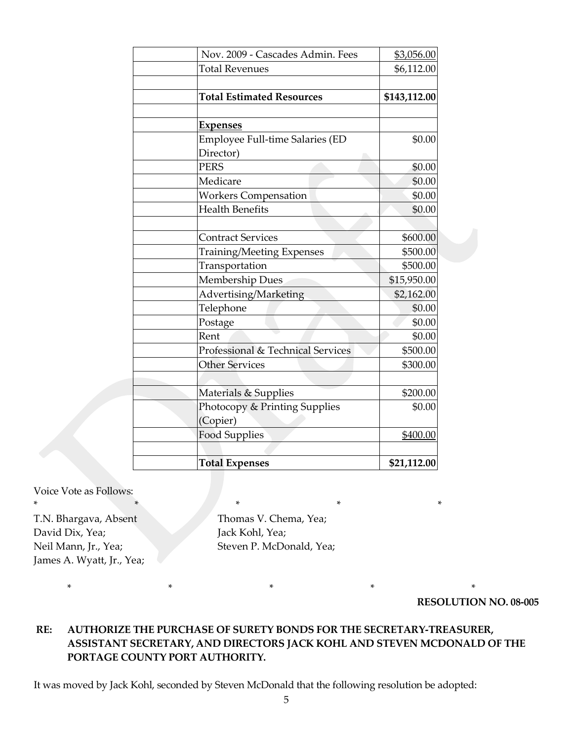| Nov. 2009 - Cascades Admin. Fees  | \$3,056.00   |
|-----------------------------------|--------------|
| <b>Total Revenues</b>             | \$6,112.00   |
|                                   |              |
| <b>Total Estimated Resources</b>  | \$143,112.00 |
|                                   |              |
| <u>Expenses</u>                   |              |
| Employee Full-time Salaries (ED   | \$0.00       |
| Director)                         |              |
| <b>PERS</b>                       | \$0.00       |
| Medicare                          | \$0.00       |
| <b>Workers Compensation</b>       | \$0.00       |
| <b>Health Benefits</b>            | \$0.00       |
|                                   |              |
| <b>Contract Services</b>          | \$600.00     |
| <b>Training/Meeting Expenses</b>  | \$500.00     |
| Transportation                    | \$500.00     |
| <b>Membership Dues</b>            | \$15,950.00  |
| Advertising/Marketing             | \$2,162.00   |
| Telephone                         | \$0.00       |
| Postage                           | \$0.00       |
| Rent                              | \$0.00       |
| Professional & Technical Services | \$500.00     |
| <b>Other Services</b>             | \$300.00     |
|                                   |              |
| Materials & Supplies              | \$200.00     |
| Photocopy & Printing Supplies     | \$0.00       |
| (Copier)                          |              |
| <b>Food Supplies</b>              | \$400.00     |
|                                   |              |
| <b>Total Expenses</b>             | \$21,112.00  |

Voice Vote as Follows:

T.N. Bhargava, Absent Thomas V. Chema, Yea; David Dix, Yea; Jack Kohl, Yea; James A. Wyatt, Jr., Yea;

Neil Mann, Jr., Yea; Steven P. McDonald, Yea;

\* \* \* \* \*

\* \* \* \* \* \* \* \* \*

**RESOLUTION NO. 08-005**

## **RE: AUTHORIZE THE PURCHASE OF SURETY BONDS FOR THE SECRETARY-TREASURER, ASSISTANT SECRETARY, AND DIRECTORS JACK KOHL AND STEVEN MCDONALD OF THE PORTAGE COUNTY PORT AUTHORITY.**

It was moved by Jack Kohl, seconded by Steven McDonald that the following resolution be adopted: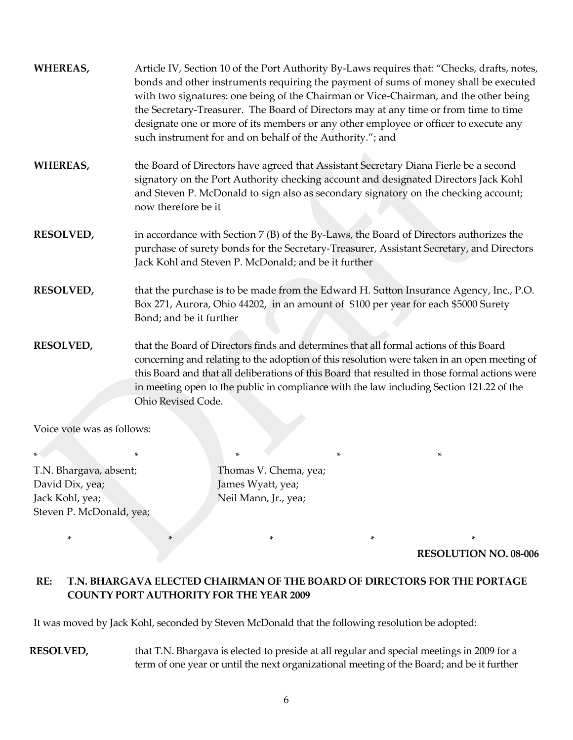| WHEREAS,         | Article IV, Section 10 of the Port Authority By-Laws requires that: "Checks, drafts, notes,<br>bonds and other instruments requiring the payment of sums of money shall be executed<br>with two signatures: one being of the Chairman or Vice-Chairman, and the other being<br>the Secretary-Treasurer. The Board of Directors may at any time or from time to time<br>designate one or more of its members or any other employee or officer to execute any<br>such instrument for and on behalf of the Authority."; and |
|------------------|--------------------------------------------------------------------------------------------------------------------------------------------------------------------------------------------------------------------------------------------------------------------------------------------------------------------------------------------------------------------------------------------------------------------------------------------------------------------------------------------------------------------------|
| WHEREAS,         | the Board of Directors have agreed that Assistant Secretary Diana Fierle be a second<br>signatory on the Port Authority checking account and designated Directors Jack Kohl<br>and Steven P. McDonald to sign also as secondary signatory on the checking account;<br>now therefore be it                                                                                                                                                                                                                                |
| <b>RESOLVED,</b> | in accordance with Section 7 (B) of the By-Laws, the Board of Directors authorizes the<br>purchase of surety bonds for the Secretary-Treasurer, Assistant Secretary, and Directors<br>Jack Kohl and Steven P. McDonald; and be it further                                                                                                                                                                                                                                                                                |
| <b>RESOLVED,</b> | that the purchase is to be made from the Edward H. Sutton Insurance Agency, Inc., P.O.<br>Box 271, Aurora, Ohio 44202, in an amount of \$100 per year for each \$5000 Surety<br>Bond; and be it further                                                                                                                                                                                                                                                                                                                  |
| <b>RESOLVED,</b> | that the Board of Directors finds and determines that all formal actions of this Board<br>concerning and relating to the adoption of this resolution were taken in an open meeting of<br>this Board and that all deliberations of this Board that resulted in those formal actions were<br>in meeting open to the public in compliance with the law including Section 121.22 of the<br>Ohio Revised Code.                                                                                                                |

Voice vote was as follows:

\* \* \* \* \* T.N. Bhargava, absent; Thomas V. Chema, yea; David Dix, yea; James Wyatt, yea; Jack Kohl, yea; Neil Mann, Jr., yea; Steven P. McDonald, yea;

\* \* \* \* \* \* \* \* \* \* \*

**RESOLUTION NO. 08-006**

# **RE: T.N. BHARGAVA ELECTED CHAIRMAN OF THE BOARD OF DIRECTORS FOR THE PORTAGE COUNTY PORT AUTHORITY FOR THE YEAR 2009**

It was moved by Jack Kohl, seconded by Steven McDonald that the following resolution be adopted:

**RESOLVED,** that T.N. Bhargava is elected to preside at all regular and special meetings in 2009 for a term of one year or until the next organizational meeting of the Board; and be it further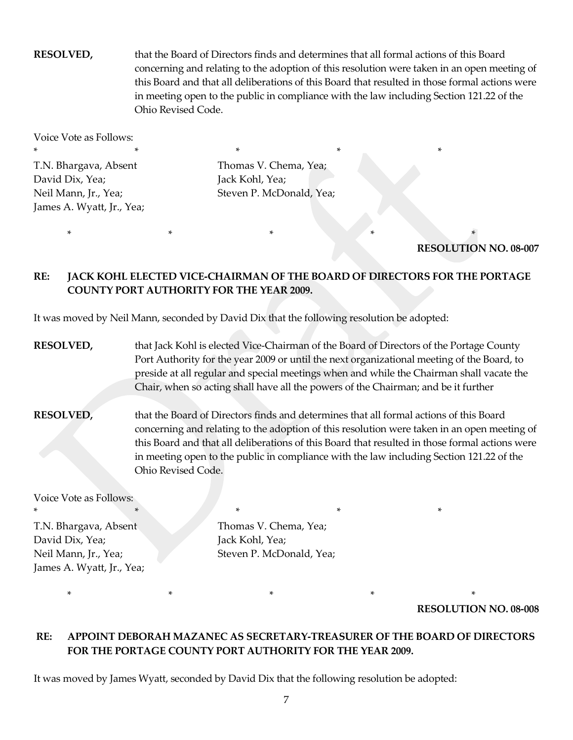**RESOLVED,** that the Board of Directors finds and determines that all formal actions of this Board concerning and relating to the adoption of this resolution were taken in an open meeting of this Board and that all deliberations of this Board that resulted in those formal actions were in meeting open to the public in compliance with the law including Section 121.22 of the Ohio Revised Code.

Voice Vote as Follows: \* \* \* \* \* \* \* \* \* \* \* T.N. Bhargava, Absent Thomas V. Chema, Yea; David Dix, Yea; Jack Kohl, Yea; James A. Wyatt, Jr., Yea;

Neil Mann, Jr., Yea; Steven P. McDonald, Yea;

\* \* \* \* \* \* \* \* \* \* \* \*

**RESOLUTION NO. 08-007**

### **RE: JACK KOHL ELECTED VICE-CHAIRMAN OF THE BOARD OF DIRECTORS FOR THE PORTAGE COUNTY PORT AUTHORITY FOR THE YEAR 2009.**

It was moved by Neil Mann, seconded by David Dix that the following resolution be adopted:

**RESOLVED,** that Jack Kohl is elected Vice-Chairman of the Board of Directors of the Portage County Port Authority for the year 2009 or until the next organizational meeting of the Board, to preside at all regular and special meetings when and while the Chairman shall vacate the Chair, when so acting shall have all the powers of the Chairman; and be it further

**RESOLVED,** that the Board of Directors finds and determines that all formal actions of this Board concerning and relating to the adoption of this resolution were taken in an open meeting of this Board and that all deliberations of this Board that resulted in those formal actions were in meeting open to the public in compliance with the law including Section 121.22 of the Ohio Revised Code.

Voice Vote as Follows:

\* \* \* \* \* \* \* \* T.N. Bhargava, Absent Thomas V. Chema, Yea; David Dix, Yea; Jack Kohl, Yea; James A. Wyatt, Jr., Yea;

Neil Mann, Jr., Yea; Steven P. McDonald, Yea;

\* \* \* \* \*

**RESOLUTION NO. 08-008**

### **RE: APPOINT DEBORAH MAZANEC AS SECRETARY-TREASURER OF THE BOARD OF DIRECTORS FOR THE PORTAGE COUNTY PORT AUTHORITY FOR THE YEAR 2009.**

It was moved by James Wyatt, seconded by David Dix that the following resolution be adopted: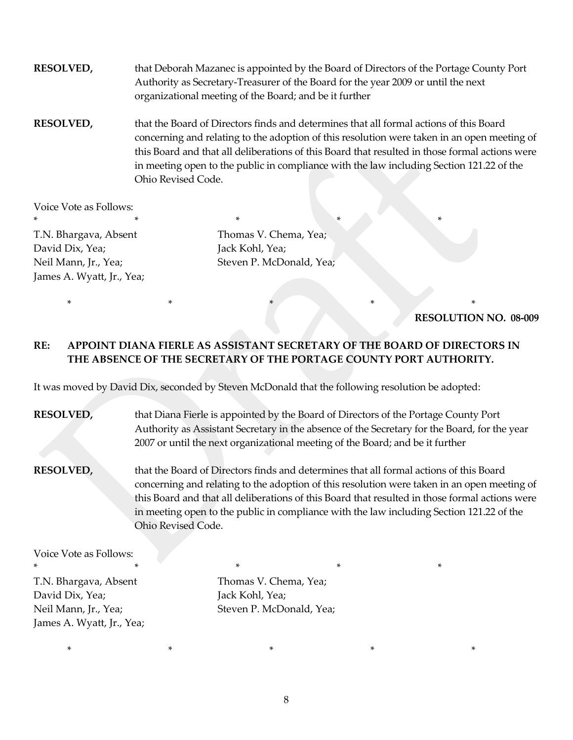**RESOLVED,** that Deborah Mazanec is appointed by the Board of Directors of the Portage County Port Authority as Secretary-Treasurer of the Board for the year 2009 or until the next organizational meeting of the Board; and be it further

**RESOLVED,** that the Board of Directors finds and determines that all formal actions of this Board concerning and relating to the adoption of this resolution were taken in an open meeting of this Board and that all deliberations of this Board that resulted in those formal actions were in meeting open to the public in compliance with the law including Section 121.22 of the Ohio Revised Code.

Voice Vote as Follows: \* \* \* \* \* \* \* \* \* \* \* \* \* \* \*

T.N. Bhargava, Absent Thomas V. Chema, Yea; David Dix, Yea; Jack Kohl, Yea; James A. Wyatt, Jr., Yea;

Neil Mann, Jr., Yea; Steven P. McDonald, Yea;

#### **RESOLUTION NO. 08-009**

## **RE: APPOINT DIANA FIERLE AS ASSISTANT SECRETARY OF THE BOARD OF DIRECTORS IN THE ABSENCE OF THE SECRETARY OF THE PORTAGE COUNTY PORT AUTHORITY.**

\* \* \* \* \* \* \* \* \*

It was moved by David Dix, seconded by Steven McDonald that the following resolution be adopted:

**RESOLVED,** that Diana Fierle is appointed by the Board of Directors of the Portage County Port Authority as Assistant Secretary in the absence of the Secretary for the Board, for the year 2007 or until the next organizational meeting of the Board; and be it further

**RESOLVED,** that the Board of Directors finds and determines that all formal actions of this Board concerning and relating to the adoption of this resolution were taken in an open meeting of this Board and that all deliberations of this Board that resulted in those formal actions were in meeting open to the public in compliance with the law including Section 121.22 of the Ohio Revised Code.

Voice Vote as Follows:

\* \* \* \* \* T.N. Bhargava, Absent Thomas V. Chema, Yea; David Dix, Yea; Jack Kohl, Yea; James A. Wyatt, Jr., Yea;

Neil Mann, Jr., Yea; Steven P. McDonald, Yea;

\* \* \* \* \*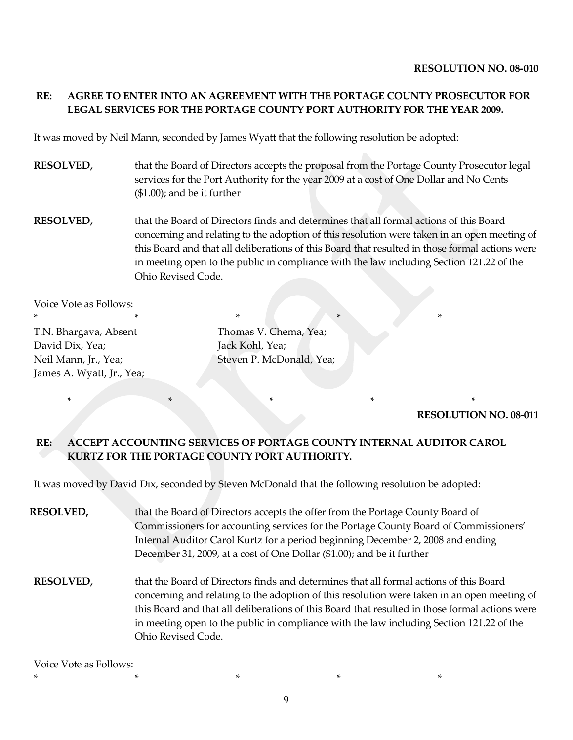# **RE: AGREE TO ENTER INTO AN AGREEMENT WITH THE PORTAGE COUNTY PROSECUTOR FOR LEGAL SERVICES FOR THE PORTAGE COUNTY PORT AUTHORITY FOR THE YEAR 2009.**

It was moved by Neil Mann, seconded by James Wyatt that the following resolution be adopted:

- **RESOLVED,** that the Board of Directors accepts the proposal from the Portage County Prosecutor legal services for the Port Authority for the year 2009 at a cost of One Dollar and No Cents (\$1.00); and be it further
- **RESOLVED,** that the Board of Directors finds and determines that all formal actions of this Board concerning and relating to the adoption of this resolution were taken in an open meeting of this Board and that all deliberations of this Board that resulted in those formal actions were in meeting open to the public in compliance with the law including Section 121.22 of the Ohio Revised Code.

Voice Vote as Follows:

\* \* \* \* \* \* \* \* \* \* \* T.N. Bhargava, Absent Thomas V. Chema, Yea; David Dix, Yea; Jack Kohl, Yea; James A. Wyatt, Jr., Yea;

Neil Mann, Jr., Yea; Steven P. McDonald, Yea;

**RESOLUTION NO. 08-011**

### **RE: ACCEPT ACCOUNTING SERVICES OF PORTAGE COUNTY INTERNAL AUDITOR CAROL KURTZ FOR THE PORTAGE COUNTY PORT AUTHORITY.**

\* \* \* \* \*

It was moved by David Dix, seconded by Steven McDonald that the following resolution be adopted:

- **RESOLVED,** that the Board of Directors accepts the offer from the Portage County Board of Commissioners for accounting services for the Portage County Board of Commissioners' Internal Auditor Carol Kurtz for a period beginning December 2, 2008 and ending December 31, 2009, at a cost of One Dollar (\$1.00); and be it further **RESOLVED,** that the Board of Directors finds and determines that all formal actions of this Board
- concerning and relating to the adoption of this resolution were taken in an open meeting of this Board and that all deliberations of this Board that resulted in those formal actions were in meeting open to the public in compliance with the law including Section 121.22 of the Ohio Revised Code.

Voice Vote as Follows:

9

\* \* \* \* \*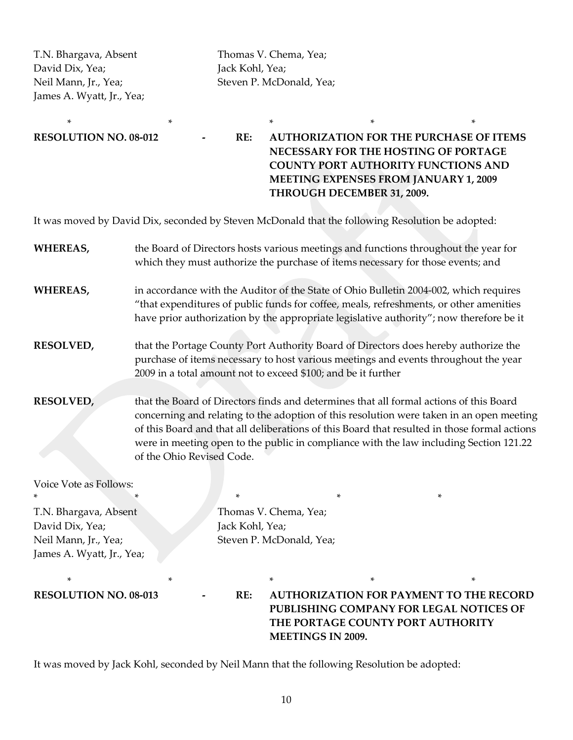David Dix, Yea; Jack Kohl, Yea; James A. Wyatt, Jr., Yea;

T.N. Bhargava, Absent Thomas V. Chema, Yea; Neil Mann, Jr., Yea; Steven P. McDonald, Yea;

\* \* \* \* \*

**RESOLUTION NO. 08-012 - RE: AUTHORIZATION FOR THE PURCHASE OF ITEMS NECESSARY FOR THE HOSTING OF PORTAGE COUNTY PORT AUTHORITY FUNCTIONS AND MEETING EXPENSES FROM JANUARY 1, 2009 THROUGH DECEMBER 31, 2009.** 

It was moved by David Dix, seconded by Steven McDonald that the following Resolution be adopted:

| <b>WHEREAS,</b>                                                                               | the Board of Directors hosts various meetings and functions throughout the year for<br>which they must authorize the purchase of items necessary for those events; and                                                                                                                                                                                                                                    |                                                                                                                                                                                                                                             |   |   |
|-----------------------------------------------------------------------------------------------|-----------------------------------------------------------------------------------------------------------------------------------------------------------------------------------------------------------------------------------------------------------------------------------------------------------------------------------------------------------------------------------------------------------|---------------------------------------------------------------------------------------------------------------------------------------------------------------------------------------------------------------------------------------------|---|---|
| <b>WHEREAS,</b>                                                                               | in accordance with the Auditor of the State of Ohio Bulletin 2004-002, which requires<br>"that expenditures of public funds for coffee, meals, refreshments, or other amenities<br>have prior authorization by the appropriate legislative authority"; now therefore be it                                                                                                                                |                                                                                                                                                                                                                                             |   |   |
| <b>RESOLVED,</b>                                                                              |                                                                                                                                                                                                                                                                                                                                                                                                           | that the Portage County Port Authority Board of Directors does hereby authorize the<br>purchase of items necessary to host various meetings and events throughout the year<br>2009 in a total amount not to exceed \$100; and be it further |   |   |
| <b>RESOLVED,</b>                                                                              | that the Board of Directors finds and determines that all formal actions of this Board<br>concerning and relating to the adoption of this resolution were taken in an open meeting<br>of this Board and that all deliberations of this Board that resulted in those formal actions<br>were in meeting open to the public in compliance with the law including Section 121.22<br>of the Ohio Revised Code. |                                                                                                                                                                                                                                             |   |   |
| Voice Vote as Follows:                                                                        |                                                                                                                                                                                                                                                                                                                                                                                                           | *                                                                                                                                                                                                                                           | * | * |
| T.N. Bhargava, Absent<br>David Dix, Yea;<br>Neil Mann, Jr., Yea;<br>James A. Wyatt, Jr., Yea; |                                                                                                                                                                                                                                                                                                                                                                                                           | Thomas V. Chema, Yea;<br>Jack Kohl, Yea;<br>Steven P. McDonald, Yea;                                                                                                                                                                        |   |   |

\* \* \* \* \* **RESOLUTION NO. 08-013 - RE: AUTHORIZATION FOR PAYMENT TO THE RECORD PUBLISHING COMPANY FOR LEGAL NOTICES OF THE PORTAGE COUNTY PORT AUTHORITY MEETINGS IN 2009.**

It was moved by Jack Kohl, seconded by Neil Mann that the following Resolution be adopted: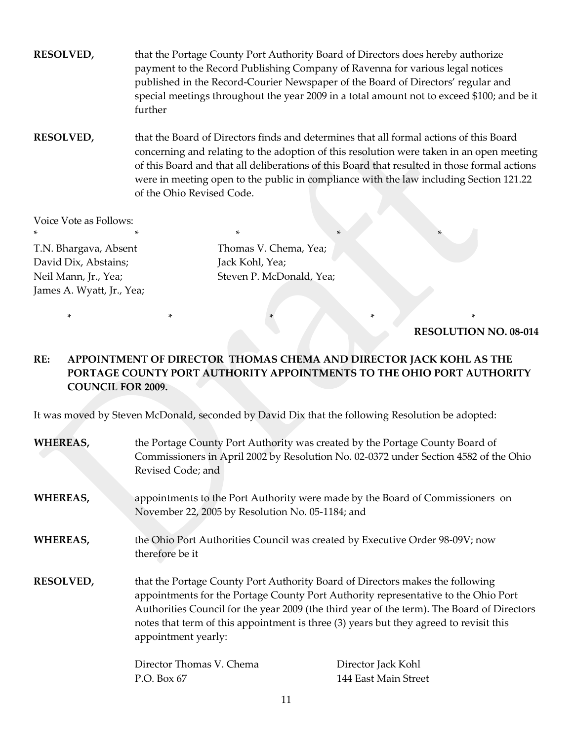**RESOLVED,** that the Portage County Port Authority Board of Directors does hereby authorize payment to the Record Publishing Company of Ravenna for various legal notices published in the Record-Courier Newspaper of the Board of Directors' regular and special meetings throughout the year 2009 in a total amount not to exceed \$100; and be it further

**RESOLVED,** that the Board of Directors finds and determines that all formal actions of this Board concerning and relating to the adoption of this resolution were taken in an open meeting of this Board and that all deliberations of this Board that resulted in those formal actions were in meeting open to the public in compliance with the law including Section 121.22 of the Ohio Revised Code.

Voice Vote as Follows: \* \* \* \* \* \* \* \* \* \* \* T.N. Bhargava, Absent Thomas V. Chema, Yea; David Dix, Abstains; Jack Kohl, Yea; Neil Mann, Jr., Yea; Steven P. McDonald, Yea; James A. Wyatt, Jr., Yea;

**RESOLUTION NO. 08-014**

# **RE: APPOINTMENT OF DIRECTOR THOMAS CHEMA AND DIRECTOR JACK KOHL AS THE PORTAGE COUNTY PORT AUTHORITY APPOINTMENTS TO THE OHIO PORT AUTHORITY COUNCIL FOR 2009.**

\* \* \* \* \* \* \* \*

It was moved by Steven McDonald, seconded by David Dix that the following Resolution be adopted:

| WHEREAS,         | the Portage County Port Authority was created by the Portage County Board of<br>Commissioners in April 2002 by Resolution No. 02-0372 under Section 4582 of the Ohio<br>Revised Code; and                                                                                                                                                                                          |                      |
|------------------|------------------------------------------------------------------------------------------------------------------------------------------------------------------------------------------------------------------------------------------------------------------------------------------------------------------------------------------------------------------------------------|----------------------|
| WHEREAS,         | appointments to the Port Authority were made by the Board of Commissioners on<br>November 22, 2005 by Resolution No. 05-1184; and                                                                                                                                                                                                                                                  |                      |
| WHEREAS,         | the Ohio Port Authorities Council was created by Executive Order 98-09V; now<br>therefore be it                                                                                                                                                                                                                                                                                    |                      |
| <b>RESOLVED,</b> | that the Portage County Port Authority Board of Directors makes the following<br>appointments for the Portage County Port Authority representative to the Ohio Port<br>Authorities Council for the year 2009 (the third year of the term). The Board of Directors<br>notes that term of this appointment is three (3) years but they agreed to revisit this<br>appointment yearly: |                      |
|                  | Director Thomas V. Chema                                                                                                                                                                                                                                                                                                                                                           | Director Jack Kohl   |
|                  | P.O. Box 67                                                                                                                                                                                                                                                                                                                                                                        | 144 East Main Street |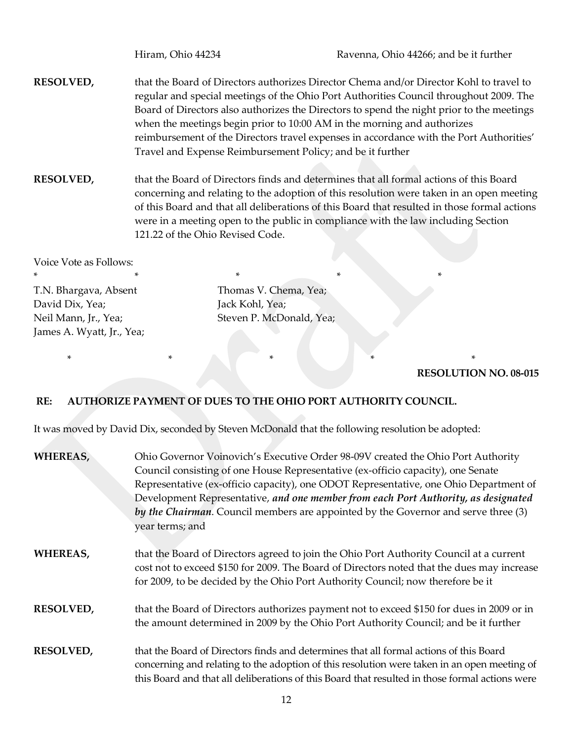- **RESOLVED,** that the Board of Directors authorizes Director Chema and/or Director Kohl to travel to regular and special meetings of the Ohio Port Authorities Council throughout 2009. The Board of Directors also authorizes the Directors to spend the night prior to the meetings when the meetings begin prior to 10:00 AM in the morning and authorizes reimbursement of the Directors travel expenses in accordance with the Port Authorities' Travel and Expense Reimbursement Policy; and be it further
- **RESOLVED,** that the Board of Directors finds and determines that all formal actions of this Board concerning and relating to the adoption of this resolution were taken in an open meeting of this Board and that all deliberations of this Board that resulted in those formal actions were in a meeting open to the public in compliance with the law including Section 121.22 of the Ohio Revised Code.

Voice Vote as Follows: \* \* \* \* \* \* \* \* \* T.N. Bhargava, Absent Thomas V. Chema, Yea; David Dix, Yea; Jack Kohl, Yea; James A. Wyatt, Jr., Yea;

Neil Mann, Jr., Yea; Steven P. McDonald, Yea;

\* \* \* \* \* \* \* \* \*

#### **RESOLUTION NO. 08-015**

## **RE: AUTHORIZE PAYMENT OF DUES TO THE OHIO PORT AUTHORITY COUNCIL.**

It was moved by David Dix, seconded by Steven McDonald that the following resolution be adopted:

| WHEREAS,         | Ohio Governor Voinovich's Executive Order 98-09V created the Ohio Port Authority<br>Council consisting of one House Representative (ex-officio capacity), one Senate                                                                                                                    |  |  |
|------------------|-----------------------------------------------------------------------------------------------------------------------------------------------------------------------------------------------------------------------------------------------------------------------------------------|--|--|
|                  | Representative (ex-officio capacity), one ODOT Representative, one Ohio Department of                                                                                                                                                                                                   |  |  |
|                  | Development Representative, and one member from each Port Authority, as designated                                                                                                                                                                                                      |  |  |
|                  | by the Chairman. Council members are appointed by the Governor and serve three (3)                                                                                                                                                                                                      |  |  |
|                  | year terms; and                                                                                                                                                                                                                                                                         |  |  |
| WHEREAS,         | that the Board of Directors agreed to join the Ohio Port Authority Council at a current<br>cost not to exceed \$150 for 2009. The Board of Directors noted that the dues may increase<br>for 2009, to be decided by the Ohio Port Authority Council; now therefore be it                |  |  |
| <b>RESOLVED,</b> | that the Board of Directors authorizes payment not to exceed \$150 for dues in 2009 or in<br>the amount determined in 2009 by the Ohio Port Authority Council; and be it further                                                                                                        |  |  |
| <b>RESOLVED,</b> | that the Board of Directors finds and determines that all formal actions of this Board<br>concerning and relating to the adoption of this resolution were taken in an open meeting of<br>this Board and that all deliberations of this Board that resulted in those formal actions were |  |  |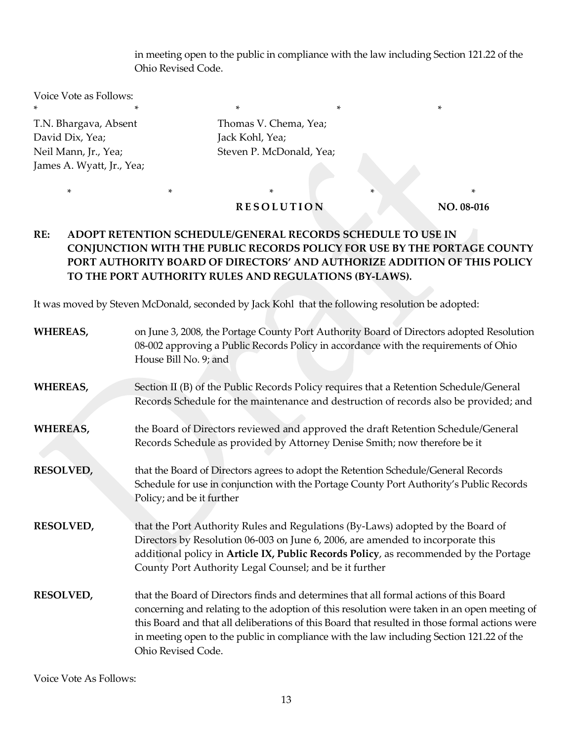in meeting open to the public in compliance with the law including Section 121.22 of the Ohio Revised Code.

Voice Vote as Follows:  $*$  \*  $*$  \*  $*$  \*  $*$  \*

James A. Wyatt, Jr., Yea;

T.N. Bhargava, Absent Thomas V. Chema, Yea; David Dix, Yea; Jack Kohl, Yea; Neil Mann, Jr., Yea; Steven P. McDonald, Yea;

## **RESOLUTION NO. 08-016**

\* \* \* \* \* \* \* \* \* \*

# **RE: ADOPT RETENTION SCHEDULE/GENERAL RECORDS SCHEDULE TO USE IN CONJUNCTION WITH THE PUBLIC RECORDS POLICY FOR USE BY THE PORTAGE COUNTY PORT AUTHORITY BOARD OF DIRECTORS' AND AUTHORIZE ADDITION OF THIS POLICY TO THE PORT AUTHORITY RULES AND REGULATIONS (BY-LAWS).**

It was moved by Steven McDonald, seconded by Jack Kohl that the following resolution be adopted:

| <b>WHEREAS,</b>  | on June 3, 2008, the Portage County Port Authority Board of Directors adopted Resolution<br>08-002 approving a Public Records Policy in accordance with the requirements of Ohio<br>House Bill No. 9; and                                                                                                                                                                                                 |
|------------------|-----------------------------------------------------------------------------------------------------------------------------------------------------------------------------------------------------------------------------------------------------------------------------------------------------------------------------------------------------------------------------------------------------------|
| WHEREAS,         | Section II (B) of the Public Records Policy requires that a Retention Schedule/General<br>Records Schedule for the maintenance and destruction of records also be provided; and                                                                                                                                                                                                                           |
| WHEREAS,         | the Board of Directors reviewed and approved the draft Retention Schedule/General<br>Records Schedule as provided by Attorney Denise Smith; now therefore be it                                                                                                                                                                                                                                           |
| <b>RESOLVED,</b> | that the Board of Directors agrees to adopt the Retention Schedule/General Records<br>Schedule for use in conjunction with the Portage County Port Authority's Public Records<br>Policy; and be it further                                                                                                                                                                                                |
| <b>RESOLVED,</b> | that the Port Authority Rules and Regulations (By-Laws) adopted by the Board of<br>Directors by Resolution 06-003 on June 6, 2006, are amended to incorporate this<br>additional policy in Article IX, Public Records Policy, as recommended by the Portage<br>County Port Authority Legal Counsel; and be it further                                                                                     |
| <b>RESOLVED,</b> | that the Board of Directors finds and determines that all formal actions of this Board<br>concerning and relating to the adoption of this resolution were taken in an open meeting of<br>this Board and that all deliberations of this Board that resulted in those formal actions were<br>in meeting open to the public in compliance with the law including Section 121.22 of the<br>Ohio Revised Code. |

Voice Vote As Follows: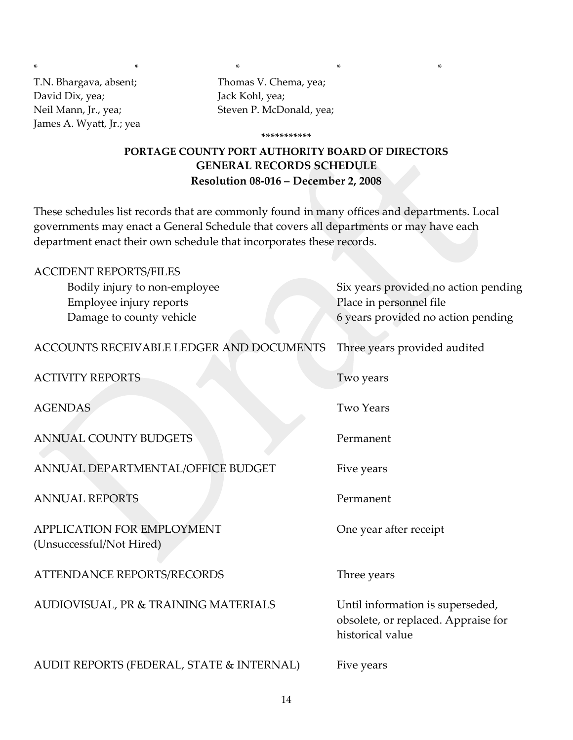\* \* \* \* \* T.N. Bhargava, absent; Thomas V. Chema, yea; David Dix, yea; Jack Kohl, yea; James A. Wyatt, Jr.; yea

Neil Mann, Jr., yea; Steven P. McDonald, yea;

# **PORTAGE COUNTY PORT AUTHORITY BOARD OF DIRECTORS GENERAL RECORDS SCHEDULE Resolution 08-016 – December 2, 2008**

**\*\*\*\*\*\*\*\*\*\*\***

These schedules list records that are commonly found in many offices and departments. Local governments may enact a General Schedule that covers all departments or may have each department enact their own schedule that incorporates these records.

| <b>ACCIDENT REPORTS/FILES</b>                          |                                                                                             |
|--------------------------------------------------------|---------------------------------------------------------------------------------------------|
| Bodily injury to non-employee                          | Six years provided no action pending                                                        |
| Employee injury reports                                | Place in personnel file                                                                     |
| Damage to county vehicle                               | 6 years provided no action pending                                                          |
| ACCOUNTS RECEIVABLE LEDGER AND DOCUMENTS               | Three years provided audited                                                                |
| <b>ACTIVITY REPORTS</b>                                | Two years                                                                                   |
| <b>AGENDAS</b>                                         | <b>Two Years</b>                                                                            |
| <b>ANNUAL COUNTY BUDGETS</b>                           | Permanent                                                                                   |
| ANNUAL DEPARTMENTAL/OFFICE BUDGET                      | Five years                                                                                  |
| <b>ANNUAL REPORTS</b>                                  | Permanent                                                                                   |
| APPLICATION FOR EMPLOYMENT<br>(Unsuccessful/Not Hired) | One year after receipt                                                                      |
| <b>ATTENDANCE REPORTS/RECORDS</b>                      | Three years                                                                                 |
| AUDIOVISUAL, PR & TRAINING MATERIALS                   | Until information is superseded,<br>obsolete, or replaced. Appraise for<br>historical value |
| AUDIT REPORTS (FEDERAL, STATE & INTERNAL)              | Five years                                                                                  |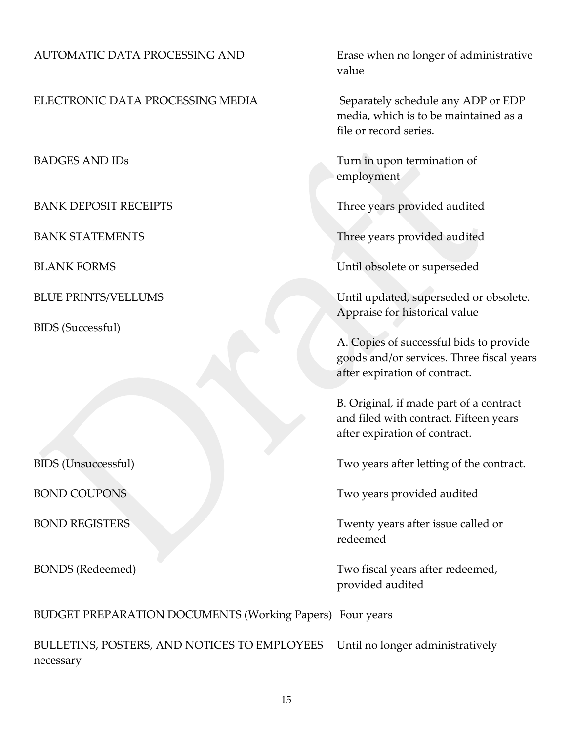## AUTOMATIC DATA PROCESSING AND Erase when no longer of administrative

ELECTRONIC DATA PROCESSING MEDIA Separately schedule any ADP or EDP

BIDS (Successful)

value

media, which is to be maintained as a file or record series.

BADGES AND IDs Turn in upon termination of employment

BANK DEPOSIT RECEIPTS Three years provided audited

BANK STATEMENTS THE STATE STATE SERVICE STATE SERVICE STATE SERVICE STATE SERVICE STATE STATE STATE STATE STATE STATE STATE STATE STATE STATE STATE STATE STATE STATE STATE STATE STATE STATE STATE STATE STATE STATE STATE ST

BLANK FORMS Until obsolete or superseded

BLUE PRINTS/VELLUMS Until updated, superseded or obsolete. Appraise for historical value

> A. Copies of successful bids to provide goods and/or services. Three fiscal years after expiration of contract.

B. Original, if made part of a contract and filed with contract. Fifteen years after expiration of contract.

BIDS (Unsuccessful) Two years after letting of the contract.

BOND COUPONS Two years provided audited

BOND REGISTERS Twenty years after issue called or redeemed

BONDS (Redeemed) Two fiscal years after redeemed, provided audited

BUDGET PREPARATION DOCUMENTS (Working Papers) Four years

BULLETINS, POSTERS, AND NOTICES TO EMPLOYEES Until no longer administratively necessary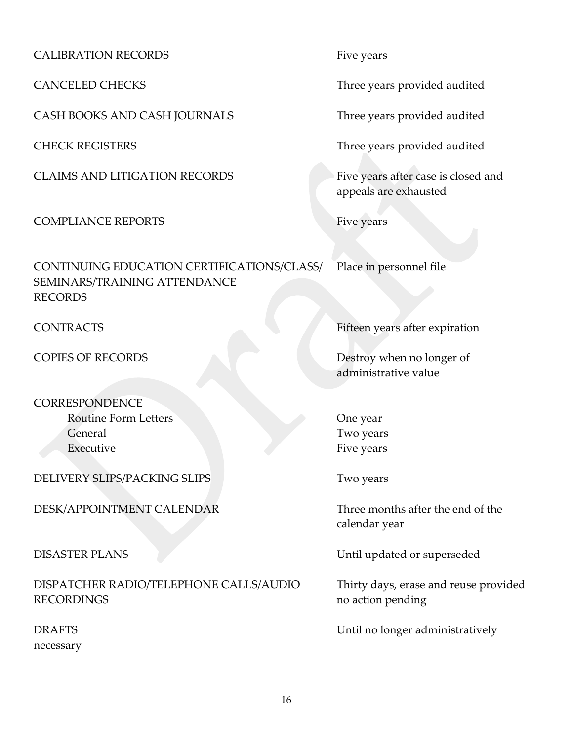CALIBRATION RECORDS Five years

CASH BOOKS AND CASH JOURNALS Three years provided audited

CLAIMS AND LITIGATION RECORDS Five years after case is closed and

COMPLIANCE REPORTS Five years

CONTINUING EDUCATION CERTIFICATIONS/CLASS/ Place in personnel file SEMINARS/TRAINING ATTENDANCE RECORDS

**CORRESPONDENCE** Routine Form Letters **Contact Cone year** One year General Two years **Contract Contract Contract Contract Contract Contract Contract Contract Contract Contract Contract Contract Contract Contract Contract Contract Contract Contract Contract Contract Contract Contract Contr** 

DELIVERY SLIPS/PACKING SLIPS Two years

DESK/APPOINTMENT CALENDAR Three months after the end of the

DISPATCHER RADIO/TELEPHONE CALLS/AUDIO Thirty days, erase and reuse provided RECORDINGS no action pending

necessary

CANCELED CHECKS Three years provided audited

CHECK REGISTERS Three years provided audited

appeals are exhausted

CONTRACTS Fifteen years after expiration

COPIES OF RECORDS Destroy when no longer of administrative value

Executive Five years

calendar year

DISASTER PLANS Until updated or superseded

DRAFTS Until no longer administratively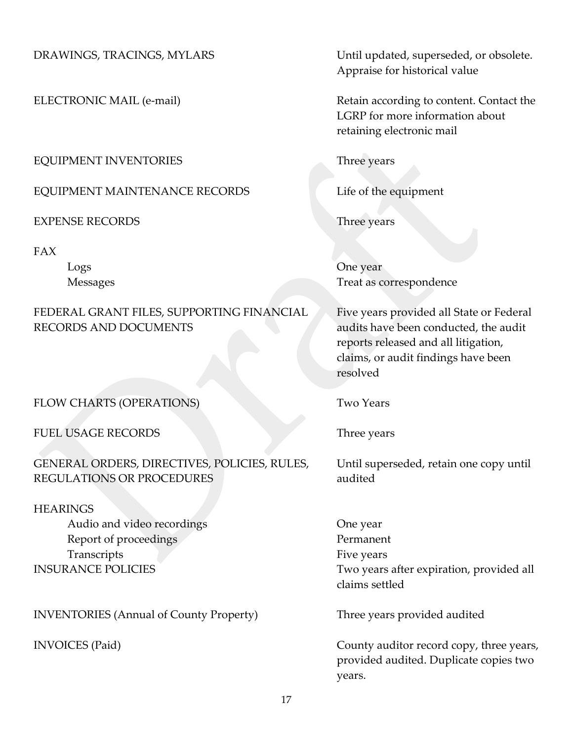# EQUIPMENT INVENTORIES Three years

EQUIPMENT MAINTENANCE RECORDS Life of the equipment

EXPENSE RECORDS Three years

FAX

# FEDERAL GRANT FILES, SUPPORTING FINANCIAL Five years provided all State or Federal RECORDS AND DOCUMENTS audits have been conducted, the audit

FLOW CHARTS (OPERATIONS) Two Years

FUEL USAGE RECORDS Three years

GENERAL ORDERS, DIRECTIVES, POLICIES, RULES, Until superseded, retain one copy until REGULATIONS OR PROCEDURES audited

**HEARINGS** Audio and video recordings The Cone year Report of proceedings Permanent Transcripts Five years

INVENTORIES (Annual of County Property) Three years provided audited

DRAWINGS, TRACINGS, MYLARS Until updated, superseded, or obsolete. Appraise for historical value

ELECTRONIC MAIL (e-mail) **Retain according to content.** Contact the LGRP for more information about retaining electronic mail

Logs One year Messages Treat as correspondence

> reports released and all litigation, claims, or audit findings have been resolved

INSURANCE POLICIES Two years after expiration, provided all claims settled

INVOICES (Paid) County auditor record copy, three years, provided audited. Duplicate copies two years.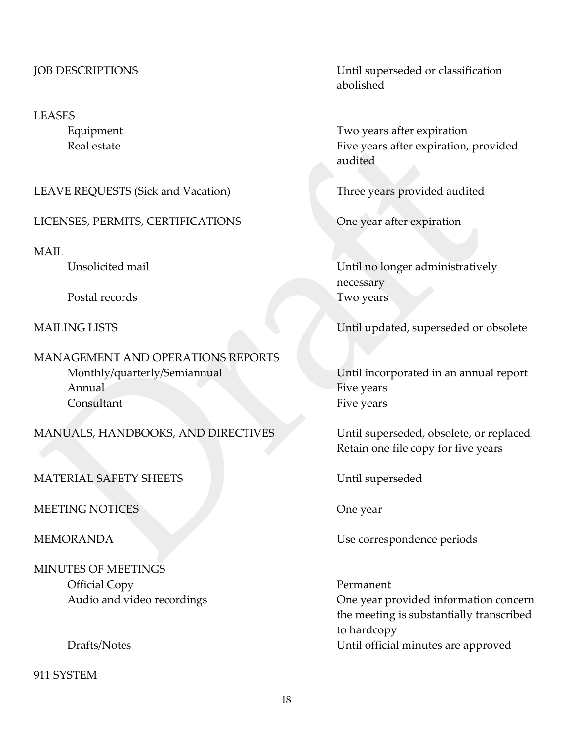#### LEASES

LEAVE REQUESTS (Sick and Vacation) Three years provided audited

LICENSES, PERMITS, CERTIFICATIONS One year after expiration

MAIL

Postal records Two years

MANAGEMENT AND OPERATIONS REPORTS Monthly/quarterly/Semiannual Until incorporated in an annual report Annual Five years **Fixed** Consultant Five years

MANUALS, HANDBOOKS, AND DIRECTIVES Until superseded, obsolete, or replaced.

MATERIAL SAFETY SHEETS Until superseded

MEETING NOTICES One year

MINUTES OF MEETINGS Official Copy Permanent

911 SYSTEM

JOB DESCRIPTIONS Until superseded or classification abolished

Equipment Two years after expiration Real estate Five years after expiration, provided audited

Unsolicited mail Until no longer administratively necessary

MAILING LISTS Until updated, superseded or obsolete

Retain one file copy for five years

MEMORANDA Use correspondence periods

Audio and video recordings **One year provided information concern** the meeting is substantially transcribed to hardcopy Drafts/Notes Until official minutes are approved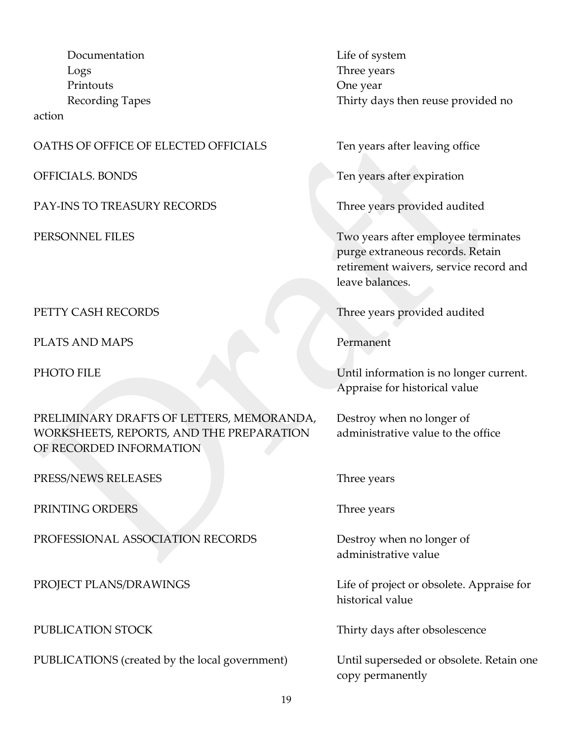Documentation Life of system Logs Three years Printouts One year

action

#### OATHS OF OFFICE OF ELECTED OFFICIALS Ten years after leaving office

PAY-INS TO TREASURY RECORDS Three years provided audited

PLATS AND MAPS Permanent

PRELIMINARY DRAFTS OF LETTERS, MEMORANDA, Destroy when no longer of WORKSHEETS, REPORTS, AND THE PREPARATION administrative value to the office OF RECORDED INFORMATION

PRESS/NEWS RELEASES Three years

PRINTING ORDERS Three years

PROFESSIONAL ASSOCIATION RECORDS Destroy when no longer of

PUBLICATIONS (created by the local government) Until superseded or obsolete. Retain one

Recording Tapes Thirty days then reuse provided no

OFFICIALS. BONDS Ten years after expiration

PERSONNEL FILES Two years after employee terminates purge extraneous records. Retain retirement waivers, service record and leave balances.

PETTY CASH RECORDS Three years provided audited

PHOTO FILE Until information is no longer current. Appraise for historical value

administrative value

PROJECT PLANS/DRAWINGS Life of project or obsolete. Appraise for historical value

PUBLICATION STOCK Thirty days after obsolescence

copy permanently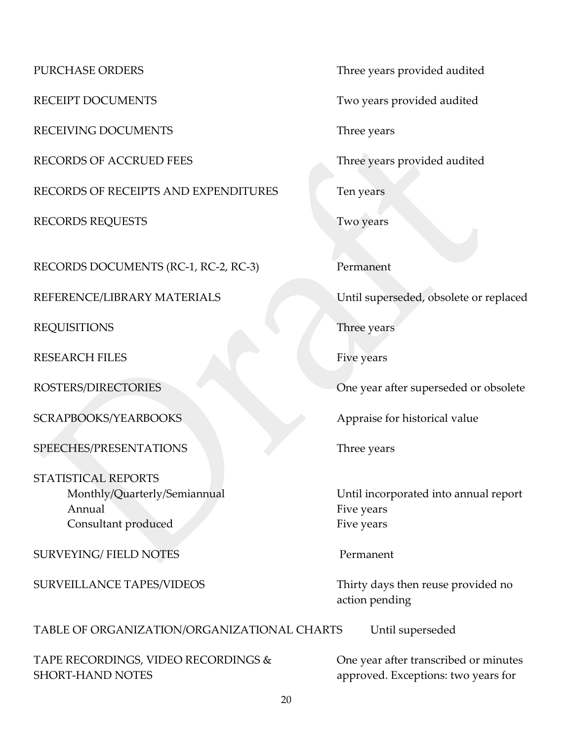RECEIVING DOCUMENTS Three years

RECORDS OF ACCRUED FEES Three years provided audited

RECORDS OF RECEIPTS AND EXPENDITURES Ten years

RECORDS REQUESTS Two years

RECORDS DOCUMENTS (RC-1, RC-2, RC-3) Permanent

REQUISITIONS Three years

RESEARCH FILES Five years

SPEECHES/PRESENTATIONS Three years

STATISTICAL REPORTS Annual Five years **Fixed** Consultant produced Five years

SURVEYING/ FIELD NOTES Permanent

TABLE OF ORGANIZATION/ORGANIZATIONAL CHARTS Until superseded

TAPE RECORDINGS, VIDEO RECORDINGS & One year after transcribed or minutes SHORT-HAND NOTES approved. Exceptions: two years for

PURCHASE ORDERS Three years provided audited

RECEIPT DOCUMENTS Two years provided audited

REFERENCE/LIBRARY MATERIALS Until superseded, obsolete or replaced

ROSTERS/DIRECTORIES One year after superseded or obsolete

SCRAPBOOKS/YEARBOOKS Appraise for historical value

Monthly/Quarterly/Semiannual Until incorporated into annual report

SURVEILLANCE TAPES/VIDEOS Thirty days then reuse provided no action pending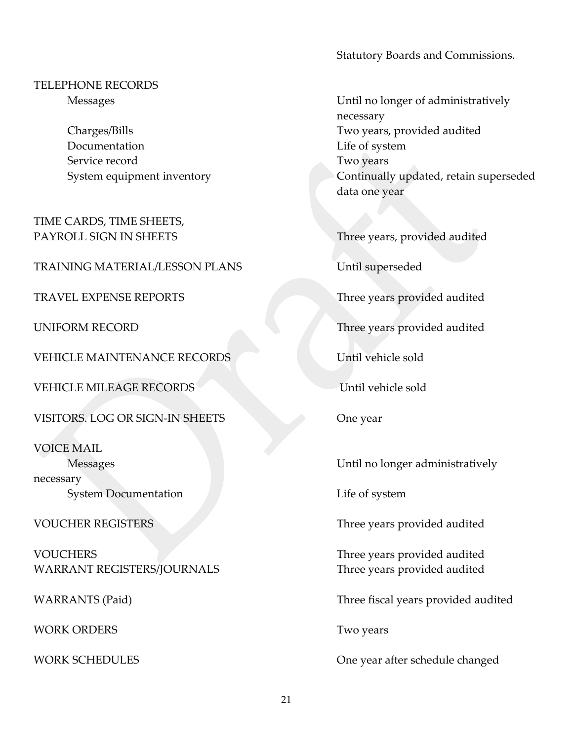Statutory Boards and Commissions.

TELEPHONE RECORDS

Documentation Life of system Service record Two years

TIME CARDS, TIME SHEETS,

TRAINING MATERIAL/LESSON PLANS Until superseded

TRAVEL EXPENSE REPORTS TRAVEL TRAVEL EXPENSE REPORTS

VEHICLE MAINTENANCE RECORDS Until vehicle sold

VEHICLE MILEAGE RECORDS Until vehicle sold

VISITORS. LOG OR SIGN-IN SHEETS One year

VOICE MAIL necessary System Documentation Life of system

VOUCHERS Three years provided audited WARRANT REGISTERS/JOURNALS Three years provided audited

WORK ORDERS Two years

Messages Until no longer of administratively necessary Charges/Bills Two years, provided audited System equipment inventory **Continually updated**, retain superseded data one year

PAYROLL SIGN IN SHEETS Three years, provided audited

UNIFORM RECORD Three years provided audited

Messages Until no longer administratively

VOUCHER REGISTERS Three years provided audited

WARRANTS (Paid) Three fiscal years provided audited

WORK SCHEDULES One year after schedule changed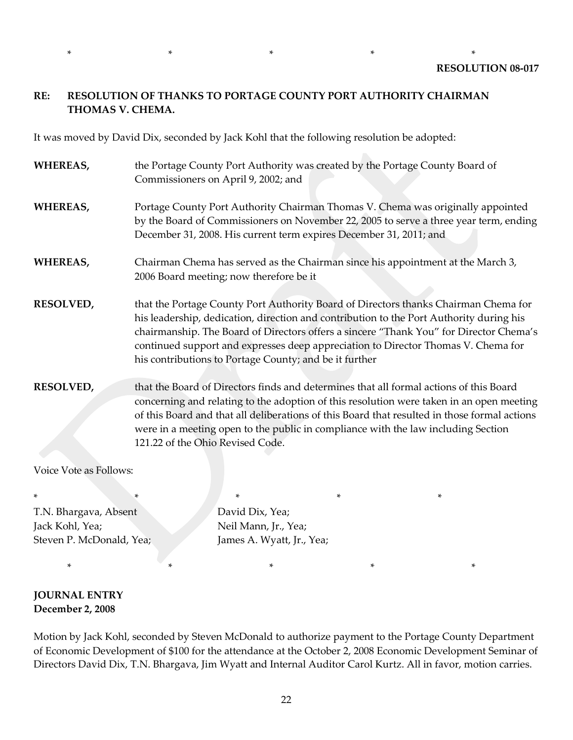### **RE: RESOLUTION OF THANKS TO PORTAGE COUNTY PORT AUTHORITY CHAIRMAN THOMAS V. CHEMA.**

\* \* \* \* \*

It was moved by David Dix, seconded by Jack Kohl that the following resolution be adopted:

**WHEREAS,** the Portage County Port Authority was created by the Portage County Board of Commissioners on April 9, 2002; and **WHEREAS,** Portage County Port Authority Chairman Thomas V. Chema was originally appointed by the Board of Commissioners on November 22, 2005 to serve a three year term, ending December 31, 2008. His current term expires December 31, 2011; and **WHEREAS,** Chairman Chema has served as the Chairman since his appointment at the March 3, 2006 Board meeting; now therefore be it **RESOLVED,** that the Portage County Port Authority Board of Directors thanks Chairman Chema for his leadership, dedication, direction and contribution to the Port Authority during his chairmanship. The Board of Directors offers a sincere "Thank You" for Director Chema's continued support and expresses deep appreciation to Director Thomas V. Chema for his contributions to Portage County; and be it further **RESOLVED,** that the Board of Directors finds and determines that all formal actions of this Board concerning and relating to the adoption of this resolution were taken in an open meeting of this Board and that all deliberations of this Board that resulted in those formal actions were in a meeting open to the public in compliance with the law including Section 121.22 of the Ohio Revised Code.

Voice Vote as Follows:

\* \* \* \* \* \* \* \* T.N. Bhargava, Absent David Dix, Yea; Jack Kohl, Yea; Neil Mann, Jr., Yea; Steven P. McDonald, Yea; James A. Wyatt, Jr., Yea;

\* \* \* \* \*

**JOURNAL ENTRY December 2, 2008**

Motion by Jack Kohl, seconded by Steven McDonald to authorize payment to the Portage County Department of Economic Development of \$100 for the attendance at the October 2, 2008 Economic Development Seminar of Directors David Dix, T.N. Bhargava, Jim Wyatt and Internal Auditor Carol Kurtz. All in favor, motion carries.